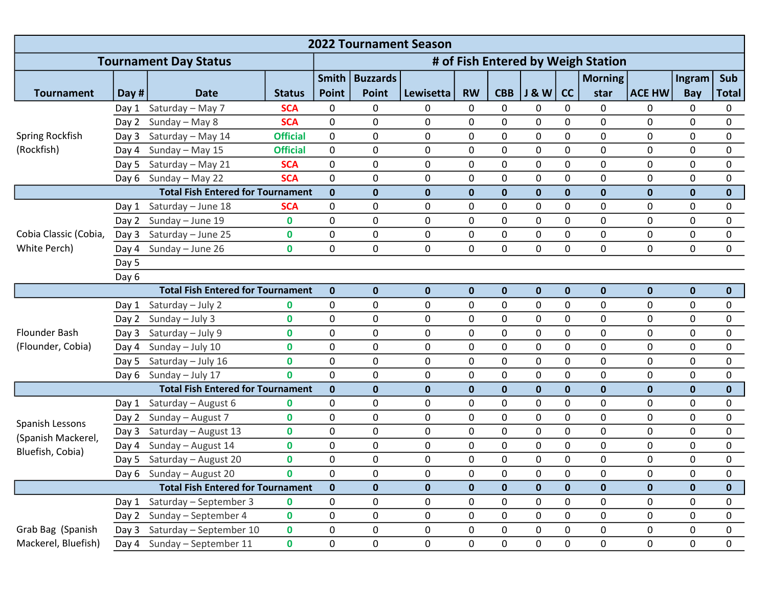| <b>2022 Tournament Season</b>                             |       |                             |                 |                  |                                    |             |             |             |                  |              |                |               |              |              |  |
|-----------------------------------------------------------|-------|-----------------------------|-----------------|------------------|------------------------------------|-------------|-------------|-------------|------------------|--------------|----------------|---------------|--------------|--------------|--|
| <b>Tournament Day Status</b>                              |       |                             |                 |                  | # of Fish Entered by Weigh Station |             |             |             |                  |              |                |               |              |              |  |
|                                                           |       |                             |                 | <b>Smith</b>     | <b>Buzzards</b>                    |             |             |             |                  |              | <b>Morning</b> |               | Ingram       | Sub          |  |
| <b>Tournament</b>                                         | Day # | <b>Date</b>                 | <b>Status</b>   | <b>Point</b>     | <b>Point</b>                       | Lewisetta   | <b>RW</b>   | <b>CBB</b>  | <b>J &amp; W</b> | cc           | star           | <b>ACE HW</b> | Bay          | <b>Total</b> |  |
| Spring Rockfish<br>(Rockfish)                             | Day 1 | Saturday - May 7            | <b>SCA</b>      | 0                | 0                                  | 0           | 0           | 0           | 0                | $\mathbf{0}$ | 0              | $\Omega$      | 0            | 0            |  |
|                                                           | Day 2 | Sunday - May 8              | <b>SCA</b>      | 0                | 0                                  | 0           | 0           | 0           | 0                | $\mathbf 0$  | 0              | 0             | 0            | 0            |  |
|                                                           | Day 3 | Saturday - May 14           | <b>Official</b> | 0                | 0                                  | 0           | 0           | 0           | 0                | $\mathbf 0$  | 0              | 0             | 0            | 0            |  |
|                                                           | Day 4 | Sunday - May 15             | <b>Official</b> | 0                | 0                                  | 0           | 0           | 0           | 0                | $\mathbf 0$  | 0              | $\mathbf{0}$  | 0            | 0            |  |
|                                                           | Day 5 | Saturday - May 21           | <b>SCA</b>      | 0                | 0                                  | 0           | 0           | 0           | 0                | 0            | 0              | 0             | 0            | 0            |  |
|                                                           | Day 6 | Sunday - May 22             | <b>SCA</b>      | $\mathbf 0$      | 0                                  | 0           | 0           | 0           | 0                | $\mathbf 0$  | 0              | $\mathbf{0}$  | $\mathbf{0}$ | 0            |  |
| <b>Total Fish Entered for Tournament</b>                  |       |                             |                 |                  | $\mathbf{0}$                       | $\mathbf 0$ | $\mathbf 0$ | $\mathbf 0$ | $\mathbf 0$      | $\pmb{0}$    | $\mathbf 0$    | $\mathbf 0$   | $\mathbf 0$  | $\mathbf{0}$ |  |
| Cobia Classic (Cobia,<br>White Perch)                     | Day 1 | Saturday - June 18          | <b>SCA</b>      | 0                | 0                                  | 0           | 0           | 0           | 0                | $\mathbf 0$  | 0              | $\mathbf 0$   | 0            | 0            |  |
|                                                           | Day 2 | Sunday - June 19            | $\mathbf 0$     | 0                | 0                                  | 0           | 0           | 0           | 0                | $\pmb{0}$    | 0              | 0             | $\mathbf 0$  | 0            |  |
|                                                           | Day 3 | Saturday - June 25          | 0               | $\mathbf 0$      | 0                                  | $\pmb{0}$   | 0           | 0           | 0                | $\pmb{0}$    | 0              | 0             | 0            | 0            |  |
|                                                           | Day 4 | Sunday - June 26            | $\mathbf 0$     | $\mathbf 0$      | 0                                  | $\mathbf 0$ | 0           | 0           | $\overline{0}$   | $\mathbf 0$  | 0              | $\Omega$      | $\mathbf 0$  | $\mathbf{0}$ |  |
|                                                           | Day 5 |                             |                 |                  |                                    |             |             |             |                  |              |                |               |              |              |  |
|                                                           | Day 6 |                             |                 |                  |                                    |             |             |             |                  |              |                |               |              |              |  |
| <b>Total Fish Entered for Tournament</b>                  |       |                             |                 | $\mathbf 0$      | $\mathbf 0$                        | $\mathbf 0$ | $\mathbf 0$ | $\mathbf 0$ | $\mathbf 0$      | $\mathbf 0$  | $\mathbf 0$    | $\mathbf 0$   | $\mathbf 0$  | $\mathbf{0}$ |  |
| Flounder Bash<br>(Flounder, Cobia)                        | Day 1 | Saturday - July 2           | 0               | 0                | 0                                  | 0           | 0           | 0           | 0                | 0            | 0              | 0             | 0            | 0            |  |
|                                                           | Day 2 | Sunday - July 3             | $\mathbf 0$     | $\mathbf 0$      | 0                                  | $\pmb{0}$   | 0           | 0           | 0                | $\mathbf 0$  | 0              | 0             | $\mathbf 0$  | 0            |  |
|                                                           | Day 3 | Saturday - July 9           | 0               | 0                | 0                                  | 0           | 0           | 0           | 0                | 0            | 0              | 0             | 0            | 0            |  |
|                                                           | Day 4 | Sunday - July 10            | 0               | $\mathbf 0$      | 0                                  | 0           | 0           | 0           | 0                | $\mathbf 0$  | 0              | 0             | 0            | 0            |  |
|                                                           | Day 5 | Saturday - July 16          | $\mathbf 0$     | $\mathbf 0$      | 0                                  | $\pmb{0}$   | 0           | 0           | 0                | $\pmb{0}$    | 0              | 0             | $\mathbf 0$  | 0            |  |
|                                                           | Day 6 | Sunday - July 17            | $\mathbf{0}$    | $\mathbf 0$      | 0                                  | $\mathbf 0$ | 0           | 0           | 0                | $\mathbf 0$  | 0              | 0             | 0            | 0            |  |
| <b>Total Fish Entered for Tournament</b>                  |       |                             |                 | $\mathbf 0$      | $\mathbf{0}$                       | $\mathbf 0$ | $\mathbf 0$ | $\mathbf 0$ | $\mathbf 0$      | $\mathbf 0$  | $\mathbf 0$    | 0             | $\mathbf 0$  | $\mathbf{0}$ |  |
| Spanish Lessons<br>(Spanish Mackerel,<br>Bluefish, Cobia) | Day 1 | Saturday - August 6         | 0               | 0                | 0                                  | 0           | 0           | 0           | 0                | $\pmb{0}$    | 0              | $\mathbf 0$   | $\mathbf{0}$ | 0            |  |
|                                                           | Day 2 | Sunday - August 7           | $\mathbf 0$     | $\mathbf 0$      | 0                                  | 0           | 0           | 0           | 0                | $\mathbf 0$  | 0              | 0             | $\mathbf 0$  | 0            |  |
|                                                           | Day 3 | Saturday - August 13        | 0               | 0                | 0                                  | 0           | 0           | 0           | 0                | $\mathbf 0$  | 0              | 0             | 0            | 0            |  |
|                                                           | Day 4 | Sunday - August 14          | $\mathbf 0$     | $\mathbf 0$      | 0                                  | $\pmb{0}$   | 0           | 0           | 0                | $\mathbf 0$  | 0              | 0             | $\mathbf 0$  | 0            |  |
|                                                           | Day 5 | Saturday - August 20        | $\mathbf 0$     | $\mathbf 0$      | 0                                  | $\mathbf 0$ | 0           | 0           | 0                | 0            | 0              | $\mathbf{0}$  | 0            | 0            |  |
|                                                           |       | Day 6 Sunday - August 20    | $\mathbf 0$     | 0<br>$\mathbf 0$ | 0                                  | 0           | 0           | 0           | 0                | 0            | 0              | 0             | 0            | 0            |  |
| <b>Total Fish Entered for Tournament</b>                  |       |                             |                 |                  | $\mathbf 0$                        | $\pmb{0}$   | $\mathbf 0$ | $\mathbf 0$ | $\mathbf 0$      | $\bf{0}$     | $\mathbf 0$    | $\mathbf{0}$  | $\mathbf 0$  | $\mathbf 0$  |  |
|                                                           | Day 1 | Saturday - September 3      | 0               | $\mathbf 0$      | 0                                  | $\pmb{0}$   | 0           | 0           | 0                | $\pmb{0}$    | 0              | 0             | $\mathbf 0$  | 0            |  |
|                                                           |       | Day 2 Sunday - September 4  | $\mathbf 0$     | $\pmb{0}$        | 0                                  | $\pmb{0}$   | 0           | 0           | 0                | $\mathbf 0$  | 0              | 0             | $\mathbf 0$  | 0            |  |
| Grab Bag (Spanish                                         | Day 3 | Saturday - September 10     | 0               | 0                | 0                                  | 0           | 0           | 0           | 0                | 0            | 0              | 0             | 0            | 0            |  |
| Mackerel, Bluefish)                                       |       | Day 4 Sunday - September 11 | 0               | $\pmb{0}$        | 0                                  | 0           | 0           | 0           | 0                | $\pmb{0}$    | 0              | 0             | 0            | 0            |  |